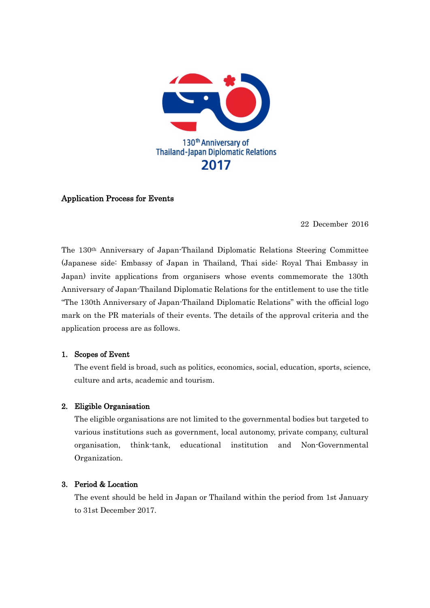

## Application Process for Events

22 December 2016

The 130th Anniversary of Japan-Thailand Diplomatic Relations Steering Committee (Japanese side: Embassy of Japan in Thailand, Thai side: Royal Thai Embassy in Japan) invite applications from organisers whose events commemorate the 130th Anniversary of Japan-Thailand Diplomatic Relations for the entitlement to use the title "The 130th Anniversary of Japan-Thailand Diplomatic Relations" with the official logo mark on the PR materials of their events. The details of the approval criteria and the application process are as follows.

### 1. Scopes of Event

The event field is broad, such as politics, economics, social, education, sports, science, culture and arts, academic and tourism.

### 2. Eligible Organisation

The eligible organisations are not limited to the governmental bodies but targeted to various institutions such as government, local autonomy, private company, cultural organisation, think-tank, educational institution and Non-Governmental Organization.

### 3. Period & Location

The event should be held in Japan or Thailand within the period from 1st January to 31st December 2017.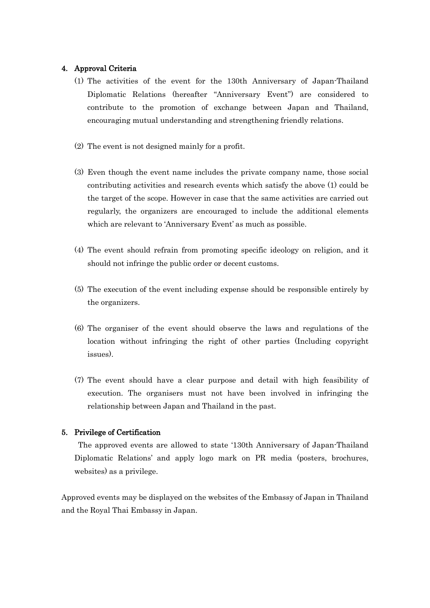### 4. Approval Criteria

- (1) The activities of the event for the 130th Anniversary of Japan-Thailand Diplomatic Relations (hereafter "Anniversary Event") are considered to contribute to the promotion of exchange between Japan and Thailand, encouraging mutual understanding and strengthening friendly relations.
- (2) The event is not designed mainly for a profit.
- (3) Even though the event name includes the private company name, those social contributing activities and research events which satisfy the above (1) could be the target of the scope. However in case that the same activities are carried out regularly, the organizers are encouraged to include the additional elements which are relevant to 'Anniversary Event' as much as possible.
- (4) The event should refrain from promoting specific ideology on religion, and it should not infringe the public order or decent customs.
- (5) The execution of the event including expense should be responsible entirely by the organizers.
- (6) The organiser of the event should observe the laws and regulations of the location without infringing the right of other parties (Including copyright issues).
- (7) The event should have a clear purpose and detail with high feasibility of execution. The organisers must not have been involved in infringing the relationship between Japan and Thailand in the past.

## 5. Privilege of Certification

The approved events are allowed to state '130th Anniversary of Japan-Thailand Diplomatic Relations' and apply logo mark on PR media (posters, brochures, websites) as a privilege.

Approved events may be displayed on the websites of the Embassy of Japan in Thailand and the Royal Thai Embassy in Japan.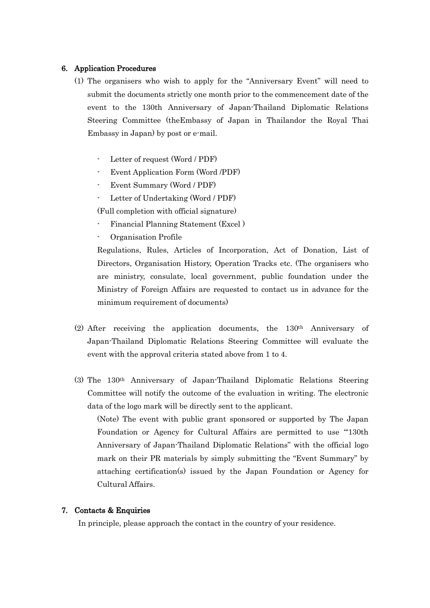### 6. Application Procedures

- (1) The organisers who wish to apply for the "Anniversary Event" will need to submit the documents strictly one month prior to the commencement date of the event to the 130th Anniversary of Japan-Thailand Diplomatic Relations Steering Committee (theEmbassy of Japan in Thailandor the Royal Thai Embassy in Japan) by post or e-mail.
	- Letter of request (Word / PDF)
	- Event Application Form (Word /PDF)
	- Event Summary (Word / PDF)
	- Letter of Undertaking (Word / PDF)

(Full completion with official signature)

- Financial Planning Statement (Excel )
- Organisation Profile

Regulations, Rules, Articles of Incorporation, Act of Donation, List of Directors, Organisation History, Operation Tracks etc. (The organisers who are ministry, consulate, local government, public foundation under the Ministry of Foreign Affairs are requested to contact us in advance for the minimum requirement of documents)

- (2) After receiving the application documents, the 130th Anniversary of Japan-Thailand Diplomatic Relations Steering Committee will evaluate the event with the approval criteria stated above from 1 to 4.
- (3) The 130th Anniversary of Japan-Thailand Diplomatic Relations Steering Committee will notify the outcome of the evaluation in writing. The electronic data of the logo mark will be directly sent to the applicant.

(Note) The event with public grant sponsored or supported by The Japan Foundation or Agency for Cultural Affairs are permitted to use "130th Anniversary of Japan-Thailand Diplomatic Relations" with the official logo mark on their PR materials by simply submitting the "Event Summary" by attaching certification(s) issued by the Japan Foundation or Agency for Cultural Affairs.

### 7. Contacts & Enquiries

In principle, please approach the contact in the country of your residence.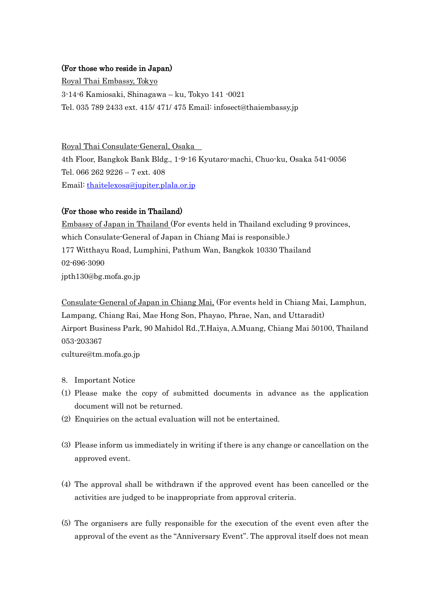# (For those who reside in Japan)

Royal Thai Embassy, Tokyo 3-14-6 Kamiosaki, Shinagawa – ku, Tokyo 141 -0021 Tel. 035 789 2433 ext. 415/ 471/ 475 Email: infosect@thaiembassy.jp

4th Floor, Bangkok Bank Bldg., 1-9-16 Kyutaro-machi, Chuo-ku, Osaka 541-0056 Tel. 066 262 9226 – 7 ext. 408 Email: [thaitelexosa@jupiter.plala.or.jp](mailto:thaitelexosa@jupiter.plala.or.jp) Royal Thai Consulate-General, Osaka

# (For those who reside in Thailand)

Embassy of Japan in Thailand (For events held in Thailand excluding 9 provinces, 177 Witthayu Road, Lumphini, Pathum Wan, Bangkok 10330 Thailand which Consulate-General of Japan in Chiang Mai is responsible.) 02-696-3090 jpth130@bg.mofa.go.jp

Consulate-General of Japan in Chiang Mai, (For events held in Chiang Mai, Lamphun, Airport Business Park, 90 Mahidol Rd.,T.Haiya, A.Muang, Chiang Mai 50100, Thailand Lampang, Chiang Rai, Mae Hong Son, Phayao, Phrae, Nan, and Uttaradit) 053-203367 culture@tm.mofa.go.jp

- 8. Important Notice
- (1) Please make the copy of submitted documents in advance as the application document will not be returned.
- (2) Enquiries on the actual evaluation will not be entertained.
- (3) Please inform us immediately in writing if there is any change or cancellation on the approved event.
- (4) The approval shall be withdrawn if the approved event has been cancelled or the activities are judged to be inappropriate from approval criteria.
- (5) The organisers are fully responsible for the execution of the event even after the approval of the event as the "Anniversary Event". The approval itself does not mean